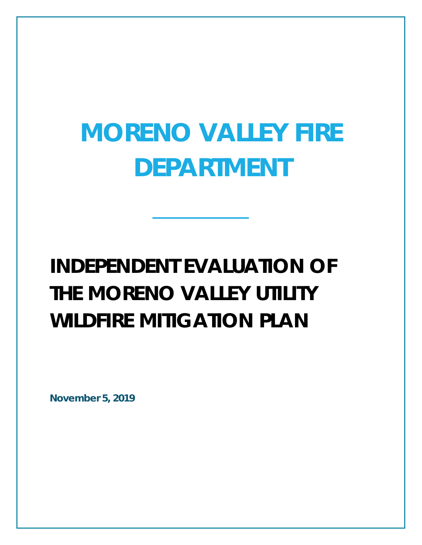# **MORENO VALLEY FIRE DEPARTMENT**

## **INDEPENDENT EVALUATION OF THE MORENO VALLEY UTILITY WILDFIRE MITIGATION PLAN**

**November 5, 2019**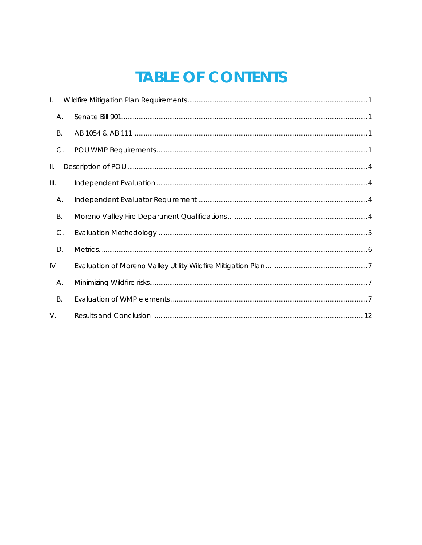### **TABLE OF CONTENTS**

| $\mathbf{L}$  |  |
|---------------|--|
| А.            |  |
| <b>B.</b>     |  |
| $C$ .         |  |
| Ш.            |  |
| III.          |  |
| А.            |  |
| В.            |  |
| $\mathsf{C}.$ |  |
| D.            |  |
| IV.           |  |
| А.            |  |
| <b>B.</b>     |  |
| $V_{\cdot}$   |  |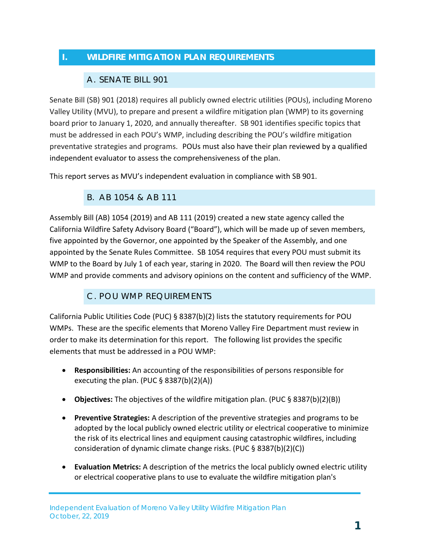#### <span id="page-2-1"></span><span id="page-2-0"></span>**I. WILDFIRE MITIGATION PLAN REQUIREMENTS**

#### A. SENATE BILL 901

Senate Bill (SB) 901 (2018) requires all publicly owned electric utilities (POUs), including Moreno Valley Utility (MVU), to prepare and present a wildfire mitigation plan (WMP) to its governing board prior to January 1, 2020, and annually thereafter. SB 901 identifies specific topics that must be addressed in each POU's WMP, including describing the POU's wildfire mitigation preventative strategies and programs. POUs must also have their plan reviewed by a qualified independent evaluator to assess the comprehensiveness of the plan.

<span id="page-2-2"></span>This report serves as MVU's independent evaluation in compliance with SB 901.

#### B. AB 1054 & AB 111

Assembly Bill (AB) 1054 (2019) and AB 111 (2019) created a new state agency called the California Wildfire Safety Advisory Board ("Board"), which will be made up of seven members, five appointed by the Governor, one appointed by the Speaker of the Assembly, and one appointed by the Senate Rules Committee. SB 1054 requires that every POU must submit its WMP to the Board by July 1 of each year, staring in 2020. The Board will then review the POU WMP and provide comments and advisory opinions on the content and sufficiency of the WMP.

#### C. POU WMP REQUIREMENTS

<span id="page-2-3"></span>California Public Utilities Code (PUC) § 8387(b)(2) lists the statutory requirements for POU WMPs. These are the specific elements that Moreno Valley Fire Department must review in order to make its determination for this report. The following list provides the specific elements that must be addressed in a POU WMP:

- **Responsibilities:** An accounting of the responsibilities of persons responsible for executing the plan. (PUC  $\S$  8387(b)(2)(A))
- **Objectives:** The objectives of the wildfire mitigation plan. (PUC § 8387(b)(2)(B))
- **Preventive Strategies:** A description of the preventive strategies and programs to be adopted by the local publicly owned electric utility or electrical cooperative to minimize the risk of its electrical lines and equipment causing catastrophic wildfires, including consideration of dynamic climate change risks. (PUC § 8387(b)(2)(C))
- **Evaluation Metrics:** A description of the metrics the local publicly owned electric utility or electrical cooperative plans to use to evaluate the wildfire mitigation plan's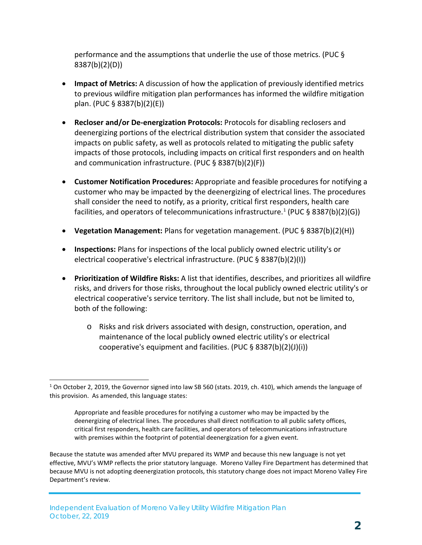performance and the assumptions that underlie the use of those metrics. (PUC § 8387(b)(2)(D))

- **Impact of Metrics:** A discussion of how the application of previously identified metrics to previous wildfire mitigation plan performances has informed the wildfire mitigation plan. (PUC § 8387(b)(2)(E))
- **Recloser and/or De-energization Protocols:** Protocols for disabling reclosers and deenergizing portions of the electrical distribution system that consider the associated impacts on public safety, as well as protocols related to mitigating the public safety impacts of those protocols, including impacts on critical first responders and on health and communication infrastructure. (PUC § 8387(b)(2)(F))
- **Customer Notification Procedures:** Appropriate and feasible procedures for notifying a customer who may be impacted by the deenergizing of electrical lines. The procedures shall consider the need to notify, as a priority, critical first responders, health care facilities, and operators of telecommunications infrastructure.<sup>1</sup> (PUC § 8387(b)(2)(G))
- **Vegetation Management:** Plans for vegetation management. (PUC § 8387(b)(2)(H))
- **Inspections:** Plans for inspections of the local publicly owned electric utility's or electrical cooperative's electrical infrastructure. (PUC § 8387(b)(2)(I))
- **Prioritization of Wildfire Risks:** A list that identifies, describes, and prioritizes all wildfire risks, and drivers for those risks, throughout the local publicly owned electric utility's or electrical cooperative's service territory. The list shall include, but not be limited to, both of the following:
	- o Risks and risk drivers associated with design, construction, operation, and maintenance of the local publicly owned electric utility's or electrical cooperative's equipment and facilities. (PUC § 8387(b)(2)(J)(i))

Because the statute was amended after MVU prepared its WMP and because this new language is not yet effective, MVU's WMP reflects the prior statutory language. Moreno Valley Fire Department has determined that because MVU is not adopting deenergization protocols, this statutory change does not impact Moreno Valley Fire Department's review.

-

<span id="page-3-0"></span><sup>&</sup>lt;sup>1</sup> On October 2, 2019, the Governor signed into law SB 560 (stats. 2019, ch. 410), which amends the language of this provision. As amended, this language states:

Appropriate and feasible procedures for notifying a customer who may be impacted by the deenergizing of electrical lines. The procedures shall direct notification to all public safety offices, critical first responders, health care facilities, and operators of telecommunications infrastructure with premises within the footprint of potential deenergization for a given event.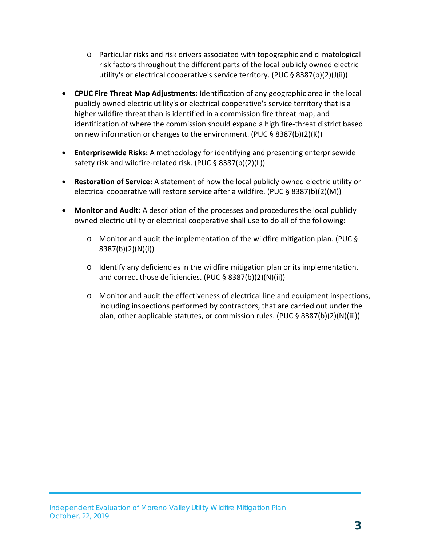- o Particular risks and risk drivers associated with topographic and climatological risk factors throughout the different parts of the local publicly owned electric utility's or electrical cooperative's service territory. (PUC § 8387(b)(2)(J(ii))
- **CPUC Fire Threat Map Adjustments:** Identification of any geographic area in the local publicly owned electric utility's or electrical cooperative's service territory that is a higher wildfire threat than is identified in a commission fire threat map, and identification of where the commission should expand a high fire-threat district based on new information or changes to the environment. (PUC § 8387(b)(2)(K))
- **Enterprisewide Risks:** A methodology for identifying and presenting enterprisewide safety risk and wildfire-related risk. (PUC § 8387(b)(2)(L))
- **Restoration of Service:** A statement of how the local publicly owned electric utility or electrical cooperative will restore service after a wildfire. (PUC § 8387(b)(2)(M))
- **Monitor and Audit:** A description of the processes and procedures the local publicly owned electric utility or electrical cooperative shall use to do all of the following:
	- $\circ$  Monitor and audit the implementation of the wildfire mitigation plan. (PUC § 8387(b)(2)(N)(i))
	- o Identify any deficiencies in the wildfire mitigation plan or its implementation, and correct those deficiencies. (PUC § 8387(b)(2)(N)(ii))
	- o Monitor and audit the effectiveness of electrical line and equipment inspections, including inspections performed by contractors, that are carried out under the plan, other applicable statutes, or commission rules. (PUC § 8387(b)(2)(N)(iii))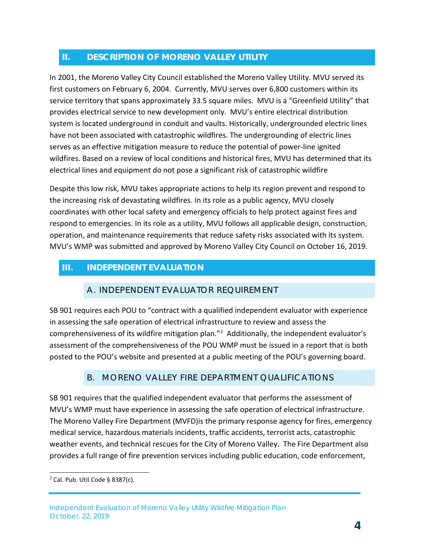#### <span id="page-5-0"></span>**II. DESCRIPTION OF MORENO VALLEY UTILITY**

In 2001, the Moreno Valley City Council established the Moreno Valley Utility. MVU served its first customers on February 6, 2004. Currently, MVU serves over 6,800 customers within its service territory that spans approximately 33.5 square miles. MVU is a "Greenfield Utility" that provides electrical service to new development only. MVU's entire electrical distribution system is located underground in conduit and vaults. Historically, undergrounded electric lines have not been associated with catastrophic wildfires. The undergrounding of electric lines serves as an effective mitigation measure to reduce the potential of power-line ignited wildfires. Based on a review of local conditions and historical fires, MVU has determined that its electrical lines and equipment do not pose a significant risk of catastrophic wildfire

Despite this low risk, MVU takes appropriate actions to help its region prevent and respond to the increasing risk of devastating wildfires. In its role as a public agency, MVU closely coordinates with other local safety and emergency officials to help protect against fires and respond to emergencies. In its role as a utility, MVU follows all applicable design, construction, operation, and maintenance requirements that reduce safety risks associated with its system. MVU's WMP was submitted and approved by Moreno Valley City Council on October 16, 2019.

#### <span id="page-5-2"></span><span id="page-5-1"></span>**III. INDEPENDENT EVALUATION**

#### A. INDEPENDENT EVALUATOR REQUIREMENT

SB 901 requires each POU to "contract with a qualified independent evaluator with experience in assessing the safe operation of electrical infrastructure to review and assess the comprehensiveness of its wildfire mitigation plan."<sup>[2](#page-5-4)</sup> Additionally, the independent evaluator's assessment of the comprehensiveness of the POU WMP must be issued in a report that is both posted to the POU's website and presented at a public meeting of the POU's governing board.

#### <span id="page-5-3"></span>B. MORENO VALLEY FIRE DEPARTMENT QUALIFICATIONS

SB 901 requires that the qualified independent evaluator that performs the assessment of MVU's WMP must have experience in assessing the safe operation of electrical infrastructure. The Moreno Valley Fire Department (MVFD)is the primary response agency for fires, emergency medical service, hazardous materials incidents, traffic accidents, terrorist acts, catastrophic weather events, and technical rescues for the City of Moreno Valley. The Fire Department also provides a full range of fire prevention services including public education, code enforcement,

-

<span id="page-5-4"></span> $2$  Cal. Pub. Util. Code § 8387(c).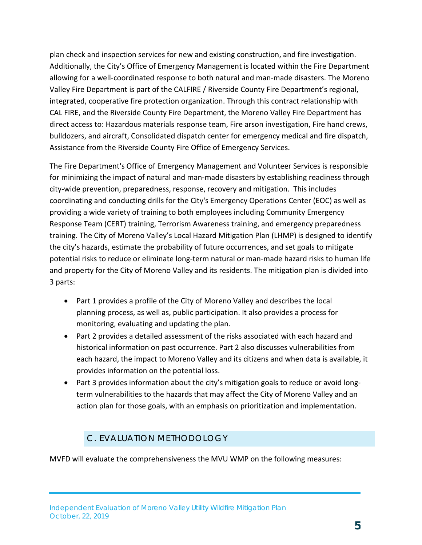plan check and inspection services for new and existing construction, and fire investigation. Additionally, the City's Office of Emergency Management is located within the Fire Department allowing for a well-coordinated response to both natural and man-made disasters. The Moreno Valley Fire Department is part of the CALFIRE / Riverside County Fire Department's regional, integrated, cooperative fire protection organization. Through this contract relationship with CAL FIRE, and the Riverside County Fire Department, the Moreno Valley Fire Department has direct access to: Hazardous materials response team, Fire arson investigation, Fire hand crews, bulldozers, and aircraft, Consolidated dispatch center for emergency medical and fire dispatch, Assistance from the Riverside County Fire Office of Emergency Services.

The Fire Department's Office of Emergency Management and Volunteer Services is responsible for minimizing the impact of natural and man-made disasters by establishing readiness through city-wide prevention, preparedness, response, recovery and mitigation. This includes coordinating and conducting drills for the City's Emergency Operations Center (EOC) as well as providing a wide variety of training to both employees including Community Emergency Response Team (CERT) training, Terrorism Awareness training, and emergency preparedness training. The City of Moreno Valley's Local Hazard Mitigation Plan (LHMP) is designed to identify the city's hazards, estimate the probability of future occurrences, and set goals to mitigate potential risks to reduce or eliminate long-term natural or man-made hazard risks to human life and property for the City of Moreno Valley and its residents. The mitigation plan is divided into 3 parts:

- Part 1 provides a profile of the City of Moreno Valley and describes the local planning process, as well as, public participation. It also provides a process for monitoring, evaluating and updating the plan.
- Part 2 provides a detailed assessment of the risks associated with each hazard and historical information on past occurrence. Part 2 also discusses vulnerabilities from each hazard, the impact to Moreno Valley and its citizens and when data is available, it provides information on the potential loss.
- Part 3 provides information about the city's mitigation goals to reduce or avoid longterm vulnerabilities to the hazards that may affect the City of Moreno Valley and an action plan for those goals, with an emphasis on prioritization and implementation.

#### C. EVALUATION METHODOLOGY

<span id="page-6-0"></span>MVFD will evaluate the comprehensiveness the MVU WMP on the following measures: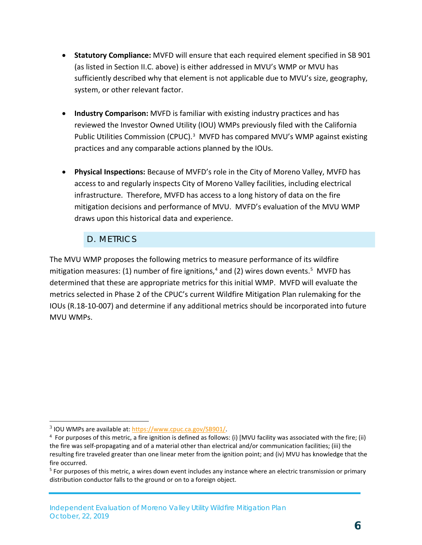- **Statutory Compliance:** MVFD will ensure that each required element specified in SB 901 (as listed in Section II.C. above) is either addressed in MVU's WMP or MVU has sufficiently described why that element is not applicable due to MVU's size, geography, system, or other relevant factor.
- **Industry Comparison:** MVFD is familiar with existing industry practices and has reviewed the Investor Owned Utility (IOU) WMPs previously filed with the California Public Utilities Commission (CPUC).<sup>[3](#page-7-1)</sup> MVFD has compared MVU's WMP against existing practices and any comparable actions planned by the IOUs.
- **Physical Inspections:** Because of MVFD's role in the City of Moreno Valley, MVFD has access to and regularly inspects City of Moreno Valley facilities, including electrical infrastructure. Therefore, MVFD has access to a long history of data on the fire mitigation decisions and performance of MVU. MVFD's evaluation of the MVU WMP draws upon this historical data and experience.

#### D. METRICS

<span id="page-7-0"></span>The MVU WMP proposes the following metrics to measure performance of its wildfire mitigation measures: (1) number of fire ignitions,<sup>[4](#page-7-2)</sup> and (2) wires down events.<sup>[5](#page-7-3)</sup> MVFD has determined that these are appropriate metrics for this initial WMP. MVFD will evaluate the metrics selected in Phase 2 of the CPUC's current Wildfire Mitigation Plan rulemaking for the IOUs (R.18-10-007) and determine if any additional metrics should be incorporated into future MVU WMPs.

-

<span id="page-7-1"></span> $3$  IOU WMPs are available at: https://www.cpuc.ca.gov/SB901/.

<span id="page-7-2"></span> $<sup>4</sup>$  For purposes of this metric, a fire ignition is defined as follows: (i) [MVU facility was associated with the fire; (ii)</sup> the fire was self-propagating and of a material other than electrical and/or communication facilities; (iii) the resulting fire traveled greater than one linear meter from the ignition point; and (iv) MVU has knowledge that the fire occurred.

<span id="page-7-3"></span> $5$  For purposes of this metric, a wires down event includes any instance where an electric transmission or primary distribution conductor falls to the ground or on to a foreign object.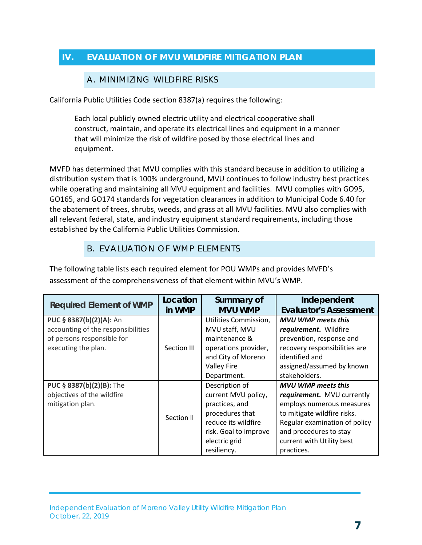#### <span id="page-8-1"></span><span id="page-8-0"></span>**IV. EVALUATION OF MVU WILDFIRE MITIGATION PLAN**

#### A. MINIMIZING WILDFIRE RISKS

California Public Utilities Code section 8387(a) requires the following:

Each local publicly owned electric utility and electrical cooperative shall construct, maintain, and operate its electrical lines and equipment in a manner that will minimize the risk of wildfire posed by those electrical lines and equipment.

MVFD has determined that MVU complies with this standard because in addition to utilizing a distribution system that is 100% underground, MVU continues to follow industry best practices while operating and maintaining all MVU equipment and facilities. MVU complies with GO95, GO165, and GO174 standards for vegetation clearances in addition to Municipal Code 6.40 for the abatement of trees, shrubs, weeds, and grass at all MVU facilities. MVU also complies with all relevant federal, state, and industry equipment standard requirements, including those established by the California Public Utilities Commission.

#### B. EVALUATION OF WMP ELEMENTS

<span id="page-8-2"></span>The following table lists each required element for POU WMPs and provides MVFD's assessment of the comprehensiveness of that element within MVU's WMP.

| <b>Required Element of WMP</b>                                                                                     | Location<br>in WMP | Summary of<br><b>MVU WMP</b>                                                                                                                               | Independent<br><b>Evaluator's Assessment</b>                                                                                                                                                                              |
|--------------------------------------------------------------------------------------------------------------------|--------------------|------------------------------------------------------------------------------------------------------------------------------------------------------------|---------------------------------------------------------------------------------------------------------------------------------------------------------------------------------------------------------------------------|
| PUC § 8387(b)(2)(A): An<br>accounting of the responsibilities<br>of persons responsible for<br>executing the plan. | Section III        | Utilities Commission,<br>MVU staff, MVU<br>maintenance &<br>operations provider,<br>and City of Moreno<br><b>Valley Fire</b><br>Department.                | <b>MVU WMP meets this</b><br>requirement. Wildfire<br>prevention, response and<br>recovery responsibilities are<br>identified and<br>assigned/assumed by known<br>stakeholders.                                           |
| PUC § 8387(b)(2)(B): The<br>objectives of the wildfire<br>mitigation plan.                                         | Section II         | Description of<br>current MVU policy,<br>practices, and<br>procedures that<br>reduce its wildfire<br>risk. Goal to improve<br>electric grid<br>resiliency. | <b>MVU WMP meets this</b><br>requirement. MVU currently<br>employs numerous measures<br>to mitigate wildfire risks.<br>Regular examination of policy<br>and procedures to stay<br>current with Utility best<br>practices. |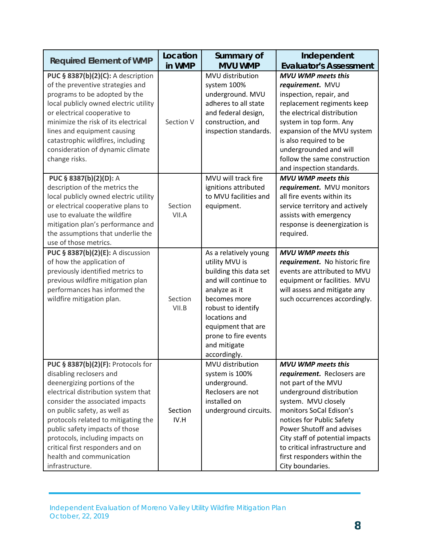| <b>Required Element of WMP</b>                                                                                                                                                                                                                                                                                                                                                                         | Location<br>in WMP | Summary of<br><b>MVU WMP</b>                                                                                                                                                                                                                    | Independent<br><b>Evaluator's Assessment</b>                                                                                                                                                                                                                                                                                                   |
|--------------------------------------------------------------------------------------------------------------------------------------------------------------------------------------------------------------------------------------------------------------------------------------------------------------------------------------------------------------------------------------------------------|--------------------|-------------------------------------------------------------------------------------------------------------------------------------------------------------------------------------------------------------------------------------------------|------------------------------------------------------------------------------------------------------------------------------------------------------------------------------------------------------------------------------------------------------------------------------------------------------------------------------------------------|
| PUC § 8387(b)(2)(C): A description<br>of the preventive strategies and<br>programs to be adopted by the<br>local publicly owned electric utility<br>or electrical cooperative to<br>minimize the risk of its electrical<br>lines and equipment causing<br>catastrophic wildfires, including<br>consideration of dynamic climate<br>change risks.                                                       | Section V          | MVU distribution<br>system 100%<br>underground. MVU<br>adheres to all state<br>and federal design,<br>construction, and<br>inspection standards.                                                                                                | <b>MVU WMP meets this</b><br>requirement. MVU<br>inspection, repair, and<br>replacement regiments keep<br>the electrical distribution<br>system in top form. Any<br>expansion of the MVU system<br>is also required to be<br>undergrounded and will<br>follow the same construction<br>and inspection standards.                               |
| PUC § 8387(b)(2)(D): A<br>description of the metrics the<br>local publicly owned electric utility<br>or electrical cooperative plans to<br>use to evaluate the wildfire<br>mitigation plan's performance and<br>the assumptions that underlie the<br>use of those metrics.                                                                                                                             | Section<br>VII.A   | MVU will track fire<br>ignitions attributed<br>to MVU facilities and<br>equipment.                                                                                                                                                              | <b>MVU WMP meets this</b><br>requirement. MVU monitors<br>all fire events within its<br>service territory and actively<br>assists with emergency<br>response is deenergization is<br>required.                                                                                                                                                 |
| PUC § 8387(b)(2)(E): A discussion<br>of how the application of<br>previously identified metrics to<br>previous wildfire mitigation plan<br>performances has informed the<br>wildfire mitigation plan.                                                                                                                                                                                                  | Section<br>VII.B   | As a relatively young<br>utility MVU is<br>building this data set<br>and will continue to<br>analyze as it<br>becomes more<br>robust to identify<br>locations and<br>equipment that are<br>prone to fire events<br>and mitigate<br>accordingly. | <b>MVU WMP meets this</b><br>requirement. No historic fire<br>events are attributed to MVU<br>equipment or facilities. MVU<br>will assess and mitigate any<br>such occurrences accordingly.                                                                                                                                                    |
| PUC § 8387(b)(2)(F): Protocols for<br>disabling reclosers and<br>deenergizing portions of the<br>electrical distribution system that<br>consider the associated impacts<br>on public safety, as well as<br>protocols related to mitigating the<br>public safety impacts of those<br>protocols, including impacts on<br>critical first responders and on<br>health and communication<br>infrastructure. | Section<br>IV.H    | MVU distribution<br>system is 100%<br>underground.<br>Reclosers are not<br>installed on<br>underground circuits.                                                                                                                                | <b>MVU WMP meets this</b><br>requirement. Reclosers are<br>not part of the MVU<br>underground distribution<br>system. MVU closely<br>monitors SoCal Edison's<br>notices for Public Safety<br>Power Shutoff and advises<br>City staff of potential impacts<br>to critical infrastructure and<br>first responders within the<br>City boundaries. |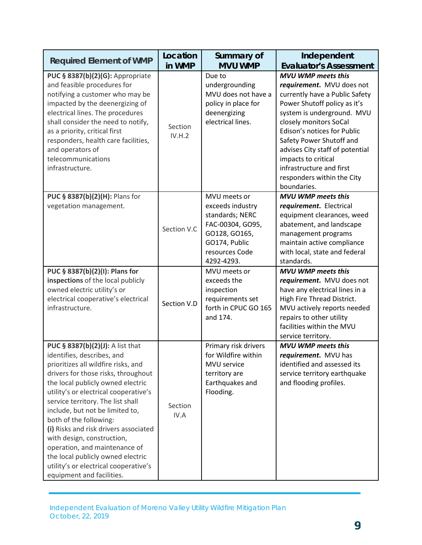| <b>Required Element of WMP</b>                                                                                                                                                                                                                                                                                                                                                                                                                                                                                                                  | Location<br>in WMP | Summary of<br><b>MVU WMP</b>                                                                                                              | Independent<br><b>Evaluator's Assessment</b>                                                                                                                                                                                                                                                                                                                                   |
|-------------------------------------------------------------------------------------------------------------------------------------------------------------------------------------------------------------------------------------------------------------------------------------------------------------------------------------------------------------------------------------------------------------------------------------------------------------------------------------------------------------------------------------------------|--------------------|-------------------------------------------------------------------------------------------------------------------------------------------|--------------------------------------------------------------------------------------------------------------------------------------------------------------------------------------------------------------------------------------------------------------------------------------------------------------------------------------------------------------------------------|
| PUC § 8387(b)(2)(G): Appropriate<br>and feasible procedures for<br>notifying a customer who may be<br>impacted by the deenergizing of<br>electrical lines. The procedures<br>shall consider the need to notify,<br>as a priority, critical first<br>responders, health care facilities,<br>and operators of<br>telecommunications<br>infrastructure.                                                                                                                                                                                            | Section<br>IV.H.2  | Due to<br>undergrounding<br>MVU does not have a<br>policy in place for<br>deenergizing<br>electrical lines.                               | <b>MVU WMP meets this</b><br>requirement. MVU does not<br>currently have a Public Safety<br>Power Shutoff policy as it's<br>system is underground. MVU<br>closely monitors SoCal<br>Edison's notices for Public<br>Safety Power Shutoff and<br>advises City staff of potential<br>impacts to critical<br>infrastructure and first<br>responders within the City<br>boundaries. |
| PUC § 8387(b)(2)(H): Plans for<br>vegetation management.                                                                                                                                                                                                                                                                                                                                                                                                                                                                                        | Section V.C        | MVU meets or<br>exceeds industry<br>standards; NERC<br>FAC-00304, GO95,<br>GO128, GO165,<br>GO174, Public<br>resources Code<br>4292-4293. | <b>MVU WMP meets this</b><br>requirement. Electrical<br>equipment clearances, weed<br>abatement, and landscape<br>management programs<br>maintain active compliance<br>with local, state and federal<br>standards.                                                                                                                                                             |
| PUC § 8387(b)(2)(I): Plans for<br>inspections of the local publicly<br>owned electric utility's or<br>electrical cooperative's electrical<br>infrastructure.                                                                                                                                                                                                                                                                                                                                                                                    | Section V.D        | MVU meets or<br>exceeds the<br>inspection<br>requirements set<br>forth in CPUC GO 165<br>and 174.                                         | <b>MVU WMP meets this</b><br>requirement. MVU does not<br>have any electrical lines in a<br>High Fire Thread District.<br>MVU actively reports needed<br>repairs to other utility<br>facilities within the MVU<br>service territory.                                                                                                                                           |
| PUC § 8387(b)(2)(J): A list that<br>identifies, describes, and<br>prioritizes all wildfire risks, and<br>drivers for those risks, throughout<br>the local publicly owned electric<br>utility's or electrical cooperative's<br>service territory. The list shall<br>include, but not be limited to,<br>both of the following:<br>(i) Risks and risk drivers associated<br>with design, construction,<br>operation, and maintenance of<br>the local publicly owned electric<br>utility's or electrical cooperative's<br>equipment and facilities. | Section<br>IV.A    | Primary risk drivers<br>for Wildfire within<br>MVU service<br>territory are<br>Earthquakes and<br>Flooding.                               | <b>MVU WMP meets this</b><br>requirement. MVU has<br>identified and assessed its<br>service territory earthquake<br>and flooding profiles.                                                                                                                                                                                                                                     |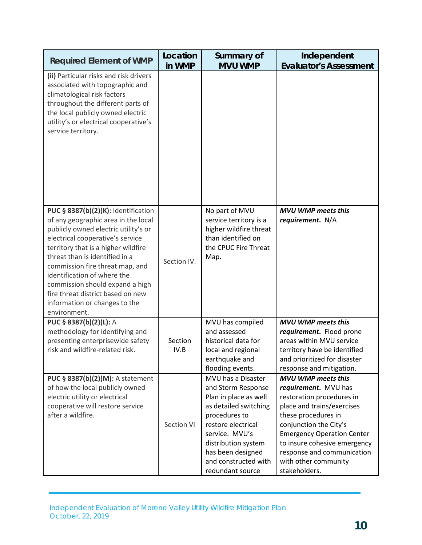| <b>Required Element of WMP</b>                                                                                                                                                                                                                                                                                                                                                                                             | Location<br>in WMP | Summary of<br><b>MVU WMP</b>                                                                                                                                                                                                                | Independent<br><b>Evaluator's Assessment</b>                                                                                                                                                                                                                                                              |
|----------------------------------------------------------------------------------------------------------------------------------------------------------------------------------------------------------------------------------------------------------------------------------------------------------------------------------------------------------------------------------------------------------------------------|--------------------|---------------------------------------------------------------------------------------------------------------------------------------------------------------------------------------------------------------------------------------------|-----------------------------------------------------------------------------------------------------------------------------------------------------------------------------------------------------------------------------------------------------------------------------------------------------------|
| (ii) Particular risks and risk drivers<br>associated with topographic and<br>climatological risk factors<br>throughout the different parts of<br>the local publicly owned electric<br>utility's or electrical cooperative's<br>service territory.                                                                                                                                                                          |                    |                                                                                                                                                                                                                                             |                                                                                                                                                                                                                                                                                                           |
| PUC § 8387(b)(2)(K): Identification<br>of any geographic area in the local<br>publicly owned electric utility's or<br>electrical cooperative's service<br>territory that is a higher wildfire<br>threat than is identified in a<br>commission fire threat map, and<br>identification of where the<br>commission should expand a high<br>fire threat district based on new<br>information or changes to the<br>environment. | Section IV.        | No part of MVU<br>service territory is a<br>higher wildfire threat<br>than identified on<br>the CPUC Fire Threat<br>Map.                                                                                                                    | <b>MVU WMP meets this</b><br>requirement. N/A                                                                                                                                                                                                                                                             |
| PUC § 8387(b)(2)(L): A<br>methodology for identifying and<br>presenting enterprisewide safety<br>risk and wildfire-related risk.                                                                                                                                                                                                                                                                                           | Section<br>IV.B    | MVU has compiled<br>and assessed<br>historical data for<br>local and regional<br>earthquake and<br>flooding events.                                                                                                                         | <b>MVU WMP meets this</b><br>requirement. Flood prone<br>areas within MVU service<br>territory have be identified<br>and prioritized for disaster<br>response and mitigation.                                                                                                                             |
| PUC § 8387(b)(2)(M): A statement<br>of how the local publicly owned<br>electric utility or electrical<br>cooperative will restore service<br>after a wildfire.                                                                                                                                                                                                                                                             | Section VI         | MVU has a Disaster<br>and Storm Response<br>Plan in place as well<br>as detailed switching<br>procedures to<br>restore electrical<br>service. MVU's<br>distribution system<br>has been designed<br>and constructed with<br>redundant source | <b>MVU WMP meets this</b><br>requirement. MVU has<br>restoration procedures in<br>place and trains/exercises<br>these procedures in<br>conjunction the City's<br><b>Emergency Operation Center</b><br>to insure cohesive emergency<br>response and communication<br>with other community<br>stakeholders. |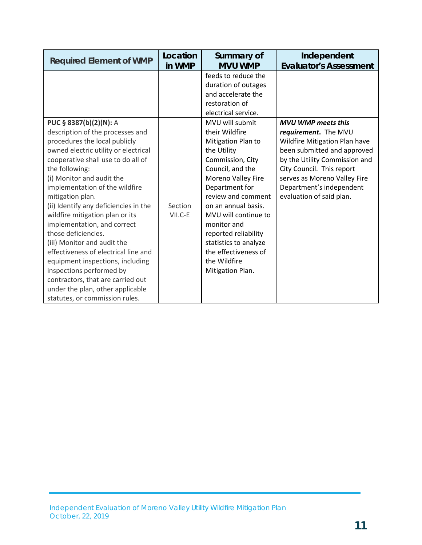| <b>Required Element of WMP</b>                                                                                                                                                                                                                                                                                                                                                                                                                                                                                                                                                                                                           | Location<br>in WMP | Summary of<br><b>MVU WMP</b>                                                                                                                                                                                                                                                                                                         | Independent                                                                                                                                                                                                                                |
|------------------------------------------------------------------------------------------------------------------------------------------------------------------------------------------------------------------------------------------------------------------------------------------------------------------------------------------------------------------------------------------------------------------------------------------------------------------------------------------------------------------------------------------------------------------------------------------------------------------------------------------|--------------------|--------------------------------------------------------------------------------------------------------------------------------------------------------------------------------------------------------------------------------------------------------------------------------------------------------------------------------------|--------------------------------------------------------------------------------------------------------------------------------------------------------------------------------------------------------------------------------------------|
| PUC § 8387(b)(2)(N): A                                                                                                                                                                                                                                                                                                                                                                                                                                                                                                                                                                                                                   |                    | feeds to reduce the<br>duration of outages<br>and accelerate the<br>restoration of<br>electrical service.<br>MVU will submit                                                                                                                                                                                                         | <b>Evaluator's Assessment</b><br><b>MVU WMP meets this</b>                                                                                                                                                                                 |
| description of the processes and<br>procedures the local publicly<br>owned electric utility or electrical<br>cooperative shall use to do all of<br>the following:<br>(i) Monitor and audit the<br>implementation of the wildfire<br>mitigation plan.<br>(ii) Identify any deficiencies in the<br>wildfire mitigation plan or its<br>implementation, and correct<br>those deficiencies.<br>(iii) Monitor and audit the<br>effectiveness of electrical line and<br>equipment inspections, including<br>inspections performed by<br>contractors, that are carried out<br>under the plan, other applicable<br>statutes, or commission rules. | Section<br>VII.C-E | their Wildfire<br>Mitigation Plan to<br>the Utility<br>Commission, City<br>Council, and the<br>Moreno Valley Fire<br>Department for<br>review and comment<br>on an annual basis.<br>MVU will continue to<br>monitor and<br>reported reliability<br>statistics to analyze<br>the effectiveness of<br>the Wildfire<br>Mitigation Plan. | requirement. The MVU<br>Wildfire Mitigation Plan have<br>been submitted and approved<br>by the Utility Commission and<br>City Council. This report<br>serves as Moreno Valley Fire<br>Department's independent<br>evaluation of said plan. |